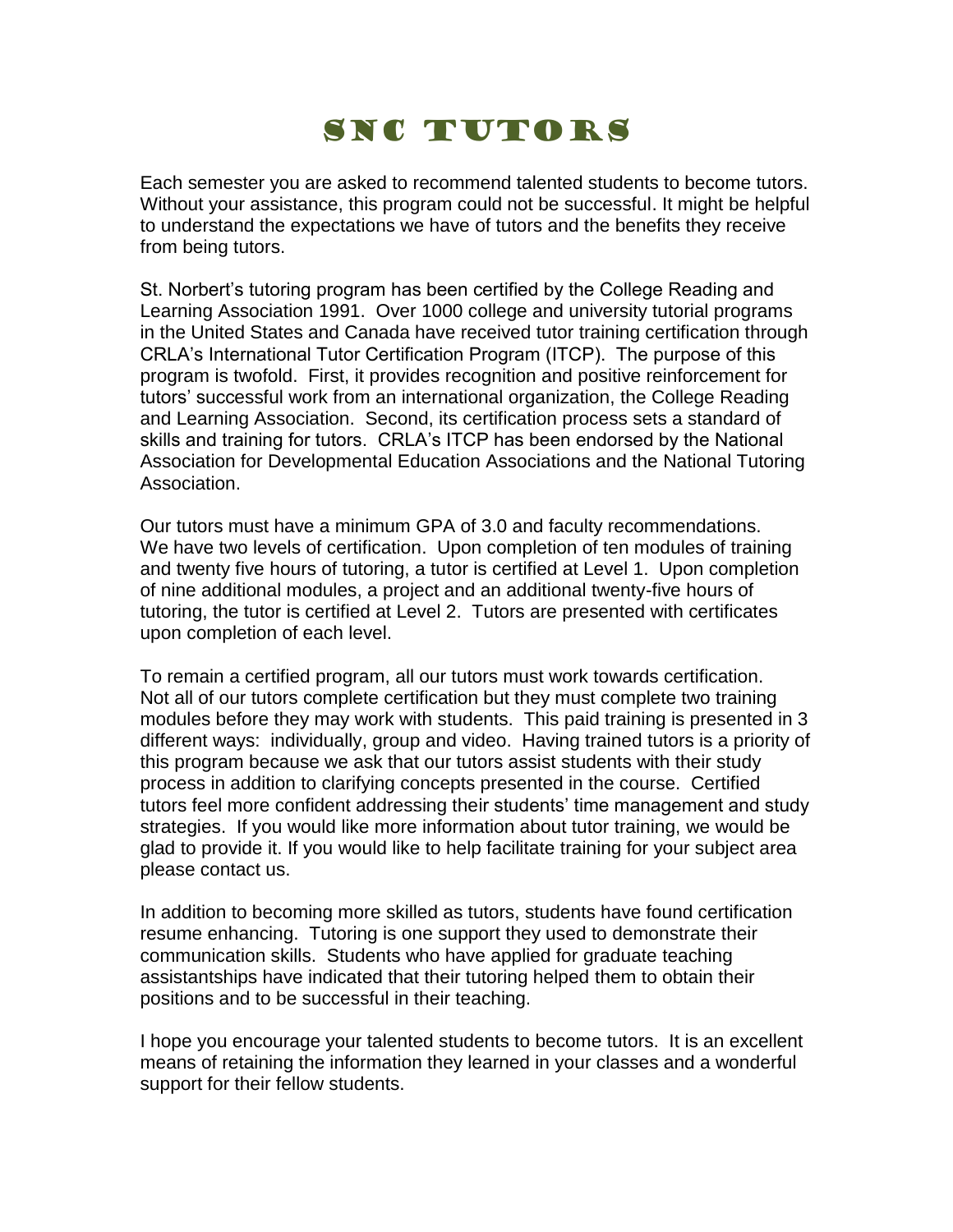## SNC TUTORS

Each semester you are asked to recommend talented students to become tutors. Without your assistance, this program could not be successful. It might be helpful to understand the expectations we have of tutors and the benefits they receive from being tutors.

St. Norbert's tutoring program has been certified by the College Reading and Learning Association 1991. Over 1000 college and university tutorial programs in the United States and Canada have received tutor training certification through CRLA's International Tutor Certification Program (ITCP). The purpose of this program is twofold. First, it provides recognition and positive reinforcement for tutors' successful work from an international organization, the College Reading and Learning Association. Second, its certification process sets a standard of skills and training for tutors. CRLA's ITCP has been endorsed by the National Association for Developmental Education Associations and the National Tutoring Association.

Our tutors must have a minimum GPA of 3.0 and faculty recommendations. We have two levels of certification. Upon completion of ten modules of training and twenty five hours of tutoring, a tutor is certified at Level 1. Upon completion of nine additional modules, a project and an additional twenty-five hours of tutoring, the tutor is certified at Level 2. Tutors are presented with certificates upon completion of each level.

To remain a certified program, all our tutors must work towards certification. Not all of our tutors complete certification but they must complete two training modules before they may work with students. This paid training is presented in 3 different ways: individually, group and video. Having trained tutors is a priority of this program because we ask that our tutors assist students with their study process in addition to clarifying concepts presented in the course. Certified tutors feel more confident addressing their students' time management and study strategies. If you would like more information about tutor training, we would be glad to provide it. If you would like to help facilitate training for your subject area please contact us.

In addition to becoming more skilled as tutors, students have found certification resume enhancing. Tutoring is one support they used to demonstrate their communication skills. Students who have applied for graduate teaching assistantships have indicated that their tutoring helped them to obtain their positions and to be successful in their teaching.

I hope you encourage your talented students to become tutors. It is an excellent means of retaining the information they learned in your classes and a wonderful support for their fellow students.